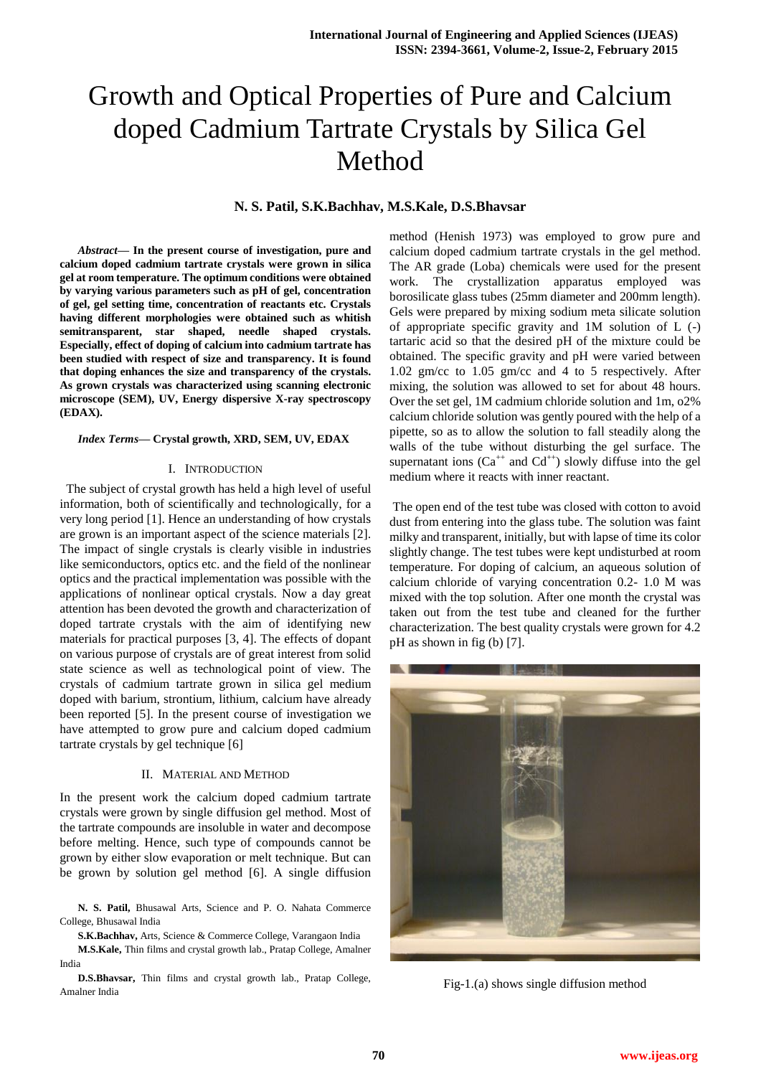# Growth and Optical Properties of Pure and Calcium doped Cadmium Tartrate Crystals by Silica Gel Method

## **N. S. Patil, S.K.Bachhav, M.S.Kale, D.S.Bhavsar**

*Abstract***— In the present course of investigation, pure and calcium doped cadmium tartrate crystals were grown in silica gel at room temperature. The optimum conditions were obtained by varying various parameters such as pH of gel, concentration of gel, gel setting time, concentration of reactants etc. Crystals having different morphologies were obtained such as whitish semitransparent, star shaped, needle shaped crystals. Especially, effect of doping of calcium into cadmium tartrate has been studied with respect of size and transparency. It is found that doping enhances the size and transparency of the crystals. As grown crystals was characterized using scanning electronic microscope (SEM), UV, Energy dispersive X-ray spectroscopy (EDAX).** 

#### *Index Terms***— Crystal growth, XRD, SEM, UV, EDAX**

#### I. INTRODUCTION

 The subject of crystal growth has held a high level of useful information, both of scientifically and technologically, for a very long period [1]. Hence an understanding of how crystals are grown is an important aspect of the science materials [2]. The impact of single crystals is clearly visible in industries like semiconductors, optics etc. and the field of the nonlinear optics and the practical implementation was possible with the applications of nonlinear optical crystals. Now a day great attention has been devoted the growth and characterization of doped tartrate crystals with the aim of identifying new materials for practical purposes [3, 4]. The effects of dopant on various purpose of crystals are of great interest from solid state science as well as technological point of view. The crystals of cadmium tartrate grown in silica gel medium doped with barium, strontium, lithium, calcium have already been reported [5]. In the present course of investigation we have attempted to grow pure and calcium doped cadmium tartrate crystals by gel technique [6]

#### II. MATERIAL AND METHOD

In the present work the calcium doped cadmium tartrate crystals were grown by single diffusion gel method. Most of the tartrate compounds are insoluble in water and decompose before melting. Hence, such type of compounds cannot be grown by either slow evaporation or melt technique. But can be grown by solution gel method [6]. A single diffusion

**N. S. Patil,** Bhusawal Arts, Science and P. O. Nahata Commerce College, Bhusawal India

**S.K.Bachhav,** Arts, Science & Commerce College, Varangaon India

**M.S.Kale,** Thin films and crystal growth lab., Pratap College, Amalner India

**D.S.Bhavsar,** Thin films and crystal growth lab., Pratap College, Amalner India

method (Henish 1973) was employed to grow pure and calcium doped cadmium tartrate crystals in the gel method. The AR grade (Loba) chemicals were used for the present work. The crystallization apparatus employed was borosilicate glass tubes (25mm diameter and 200mm length). Gels were prepared by mixing sodium meta silicate solution of appropriate specific gravity and 1M solution of L (-) tartaric acid so that the desired pH of the mixture could be obtained. The specific gravity and pH were varied between 1.02 gm/cc to 1.05 gm/cc and 4 to 5 respectively. After mixing, the solution was allowed to set for about 48 hours. Over the set gel, 1M cadmium chloride solution and 1m, o2% calcium chloride solution was gently poured with the help of a pipette, so as to allow the solution to fall steadily along the walls of the tube without disturbing the gel surface. The supernatant ions  $(Ca^{++}$  and  $Cd^{++}$ ) slowly diffuse into the gel medium where it reacts with inner reactant.

The open end of the test tube was closed with cotton to avoid dust from entering into the glass tube. The solution was faint milky and transparent, initially, but with lapse of time its color slightly change. The test tubes were kept undisturbed at room temperature. For doping of calcium, an aqueous solution of calcium chloride of varying concentration 0.2- 1.0 M was mixed with the top solution. After one month the crystal was taken out from the test tube and cleaned for the further characterization. The best quality crystals were grown for 4.2 pH as shown in fig (b) [7].



Fig-1.(a) shows single diffusion method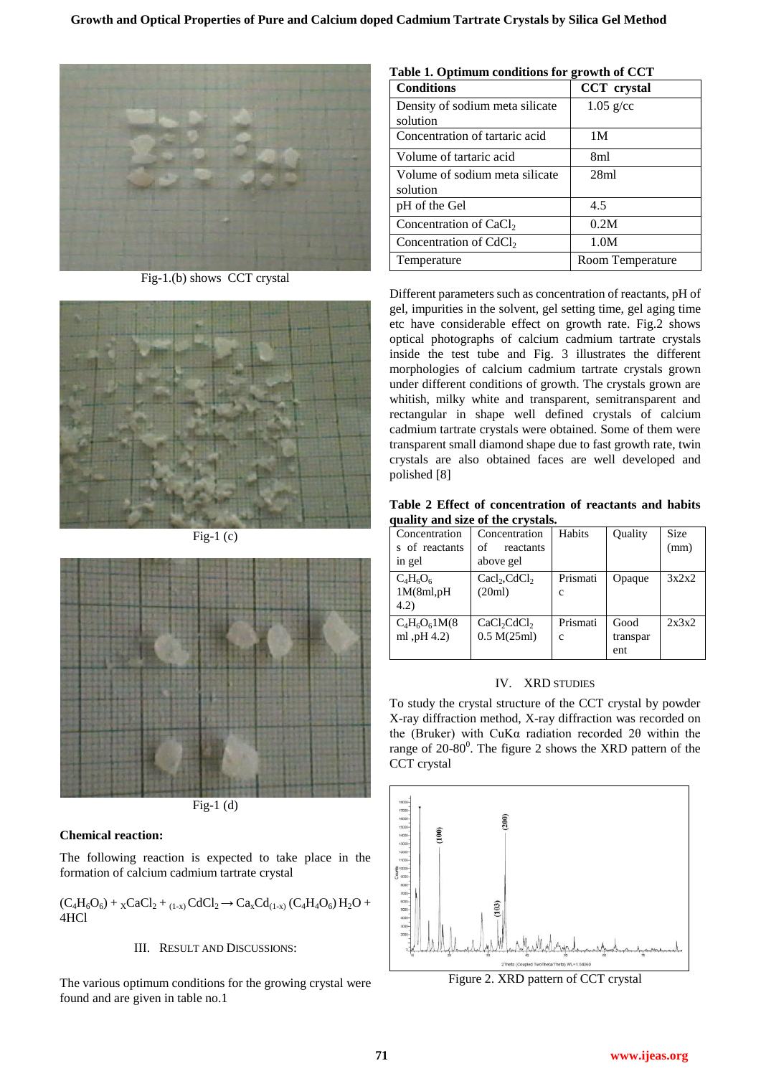

Fig-1.(b) shows CCT crystal



Fig-1 $(c)$ 



 $Fig-1$  (d)

# **Chemical reaction:**

The following reaction is expected to take place in the formation of calcium cadmium tartrate crystal

 $(C_4H_6O_6) + {}_{X}CaCl_2 + {}_{(1-x)}CdCl_2 \rightarrow Ca_xCd_{(1-x)} (C_4H_4O_6)H_2O +$ 4HCl

# III. RESULT AND DISCUSSIONS:

The various optimum conditions for the growing crystal were found and are given in table no.1

| Table 1. Optimum conditions for growth of CCT |                    |  |  |  |
|-----------------------------------------------|--------------------|--|--|--|
| <b>Conditions</b>                             | <b>CCT</b> crystal |  |  |  |
| Density of sodium meta silicate<br>solution   | $1.05$ g/cc        |  |  |  |
| Concentration of tartaric acid                | 1M                 |  |  |  |
| Volume of tartaric acid                       | 8ml                |  |  |  |
| Volume of sodium meta silicate<br>solution    | 28 <sub>ml</sub>   |  |  |  |
| pH of the Gel                                 | 4.5                |  |  |  |
| Concentration of $CaCl2$                      | 0.2M               |  |  |  |
| Concentration of CdCl <sub>2</sub>            | 1.0M               |  |  |  |
| Temperature                                   | Room Temperature   |  |  |  |

Different parameters such as concentration of reactants, pH of gel, impurities in the solvent, gel setting time, gel aging time etc have considerable effect on growth rate. Fig.2 shows optical photographs of calcium cadmium tartrate crystals inside the test tube and Fig. 3 illustrates the different morphologies of calcium cadmium tartrate crystals grown under different conditions of growth. The crystals grown are whitish, milky white and transparent, semitransparent and rectangular in shape well defined crystals of calcium cadmium tartrate crystals were obtained. Some of them were transparent small diamond shape due to fast growth rate, twin crystals are also obtained faces are well developed and polished [8]

**Table 2 Effect of concentration of reactants and habits quality and size of the crystals.**

| $\frac{1}{2}$ = $\frac{1}{2}$ = $\frac{1}{2}$ = $\frac{1}{2}$ = $\frac{1}{2}$ = $\frac{1}{2}$ = $\frac{1}{2}$ = $\frac{1}{2}$ = $\frac{1}{2}$ = $\frac{1}{2}$ |                                                    |                         |                         |                     |
|---------------------------------------------------------------------------------------------------------------------------------------------------------------|----------------------------------------------------|-------------------------|-------------------------|---------------------|
| Concentration<br>s of reactants<br>in gel                                                                                                                     | Concentration<br>of<br>reactants<br>above gel      | Habits                  | Quality                 | <b>Size</b><br>(mm) |
| $C_4H_6O_6$<br>1M(8ml,pH)<br>(4.2)                                                                                                                            | $\text{Cacl}_2,\text{CdCl}_2$<br>(20ml)            | Prismati<br>C           | Opaque                  | 3x2x2               |
| $C_4H_6O_61M(8)$<br>ml, pH 4.2)                                                                                                                               | CaCl <sub>2</sub> CdCl <sub>2</sub><br>0.5 M(25ml) | Prismati<br>$\mathbf c$ | Good<br>transpar<br>ent | 2x3x2               |

# IV. XRD STUDIES

To study the crystal structure of the CCT crystal by powder X-ray diffraction method, X-ray diffraction was recorded on the (Bruker) with CuKα radiation recorded 2θ within the range of  $20-80^\circ$ . The figure 2 shows the XRD pattern of the CCT crystal



Figure 2. XRD pattern of CCT crystal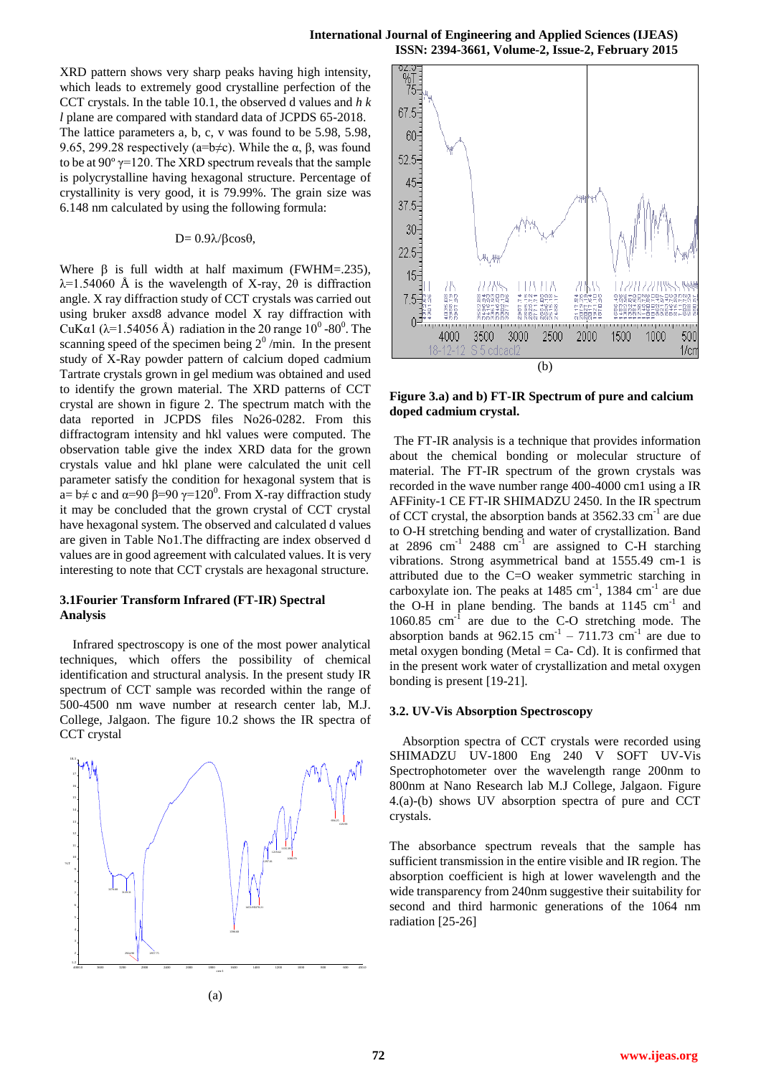XRD pattern shows very sharp peaks having high intensity, which leads to extremely good crystalline perfection of the CCT crystals. In the table 10.1, the observed d values and *h k l* plane are compared with standard data of JCPDS 65-2018. The lattice parameters a, b, c, v was found to be 5.98, 5.98, 9.65, 299.28 respectively (a=b $\neq$ c). While the α, β, was found to be at  $90^{\circ}$   $\gamma$ =120. The XRD spectrum reveals that the sample is polycrystalline having hexagonal structure. Percentage of crystallinity is very good, it is 79.99%. The grain size was 6.148 nm calculated by using the following formula:

#### $D= 0.9\lambda/\beta cos\theta$ ,

Where  $\beta$  is full width at half maximum (FWHM=.235),  $\lambda$ =1.54060 Å is the wavelength of X-ray, 20 is diffraction angle. X ray diffraction study of CCT crystals was carried out using bruker axsd8 advance model X ray diffraction with CuK $\alpha$ 1 ( $\lambda$ =1.54056 Å) radiation in the 20 range 10<sup>0</sup> -80<sup>0</sup>. The scanning speed of the specimen being  $2^0$ /min. In the present study of X-Ray powder pattern of calcium doped cadmium Tartrate crystals grown in gel medium was obtained and used to identify the grown material. The XRD patterns of CCT crystal are shown in figure 2. The spectrum match with the data reported in JCPDS files No26-0282. From this diffractogram intensity and hkl values were computed. The observation table give the index XRD data for the grown crystals value and hkl plane were calculated the unit cell parameter satisfy the condition for hexagonal system that is  $a = b \neq c$  and  $\alpha = 90$   $\beta = 90$   $\gamma = 120^0$ . From X-ray diffraction study it may be concluded that the grown crystal of CCT crystal have hexagonal system. The observed and calculated d values are given in Table No1.The diffracting are index observed d values are in good agreement with calculated values. It is very interesting to note that CCT crystals are hexagonal structure.

## **3.1Fourier Transform Infrared (FT-IR) Spectral Analysis**

Infrared spectroscopy is one of the most power analytical techniques, which offers the possibility of chemical identification and structural analysis. In the present study IR spectrum of CCT sample was recorded within the range of 500-4500 nm wave number at research center lab, M.J. College, Jalgaon. The figure 10.2 shows the IR spectra of CCT crystal





**Figure 3.a) and b) FT-IR Spectrum of pure and calcium doped cadmium crystal.**

The FT-IR analysis is a technique that provides information about the chemical bonding or molecular structure of material. The FT-IR spectrum of the grown crystals was recorded in the wave number range 400-4000 cm1 using a IR AFFinity-1 CE FT-IR SHIMADZU 2450. In the IR spectrum of CCT crystal, the absorption bands at  $3562.33 \text{ cm}^{-1}$  are due to O-H stretching bending and water of crystallization. Band at 2896  $\text{cm}^{-1}$  2488  $\text{cm}^{-1}$  are assigned to C-H starching vibrations. Strong asymmetrical band at 1555.49 cm-1 is attributed due to the C=O weaker symmetric starching in carboxylate ion. The peaks at  $1485 \text{ cm}^{-1}$ ,  $1384 \text{ cm}^{-1}$  are due the O-H in plane bending. The bands at  $1145 \text{ cm}^{-1}$  and 1060.85 cm<sup>-1</sup> are due to the C-O stretching mode. The absorption bands at  $962.15$  cm<sup>-1</sup> – 711.73 cm<sup>-1</sup> are due to metal oxygen bonding (Metal  $=$  Ca $-$  Cd). It is confirmed that in the present work water of crystallization and metal oxygen bonding is present [19-21].

## **3.2. UV-Vis Absorption Spectroscopy**

Absorption spectra of CCT crystals were recorded using SHIMADZU UV-1800 Eng 240 V SOFT UV-Vis Spectrophotometer over the wavelength range 200nm to 800nm at Nano Research lab M.J College, Jalgaon. Figure 4.(a)-(b) shows UV absorption spectra of pure and CCT crystals.

The absorbance spectrum reveals that the sample has sufficient transmission in the entire visible and IR region. The absorption coefficient is high at lower wavelength and the wide transparency from 240nm suggestive their suitability for second and third harmonic generations of the 1064 nm radiation [25-26]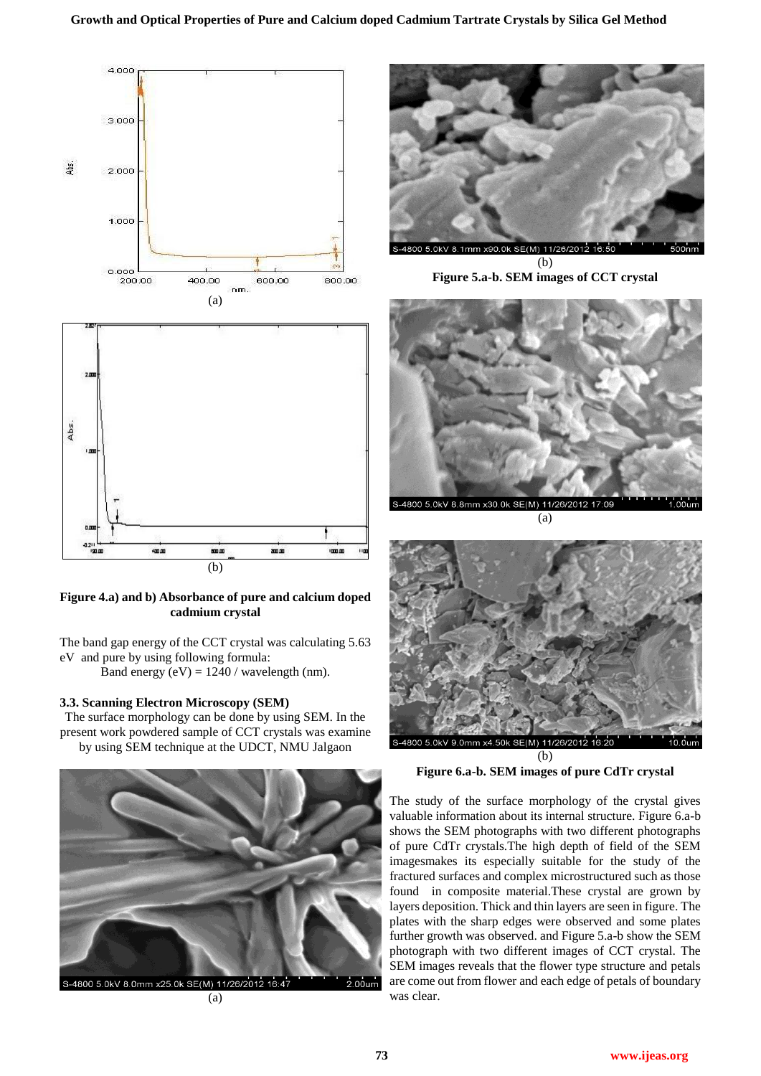

**Figure 4.a) and b) Absorbance of pure and calcium doped cadmium crystal**

The band gap energy of the CCT crystal was calculating 5.63 eV and pure by using following formula:

Band energy  $(eV) = 1240 /$  wavelength (nm).

## **3.3. Scanning Electron Microscopy (SEM)**

The surface morphology can be done by using SEM. In the present work powdered sample of CCT crystals was examine by using SEM technique at the UDCT, NMU Jalgaon



(a)



**Figure 5.a-b. SEM images of CCT crystal**



(a)



(b) **Figure 6.a-b. SEM images of pure CdTr crystal**

The study of the surface morphology of the crystal gives valuable information about its internal structure. Figure 6.a-b shows the SEM photographs with two different photographs of pure CdTr crystals.The high depth of field of the SEM imagesmakes its especially suitable for the study of the fractured surfaces and complex microstructured such as those found in composite material.These crystal are grown by layers deposition. Thick and thin layers are seen in figure. The plates with the sharp edges were observed and some plates further growth was observed. and Figure 5.a-b show the SEM photograph with two different images of CCT crystal. The SEM images reveals that the flower type structure and petals are come out from flower and each edge of petals of boundary was clear.